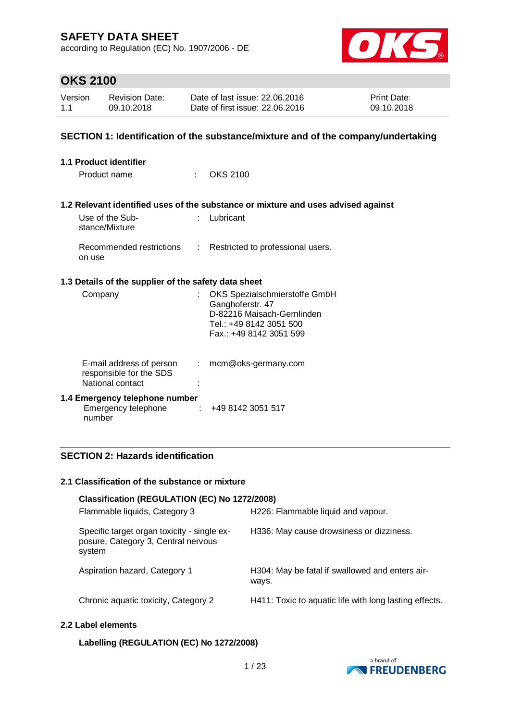according to Regulation (EC) No. 1907/2006 - DE



## **OKS 2100**

| Version | <b>Revision Date:</b> | Date of last issue: 22,06,2016  | <b>Print Date:</b> |
|---------|-----------------------|---------------------------------|--------------------|
| 1.1     | 09.10.2018            | Date of first issue: 22.06.2016 | 09.10.2018         |

## **SECTION 1: Identification of the substance/mixture and of the company/undertaking**

| <b>1.1 Product identifier</b> |                                                                         |                               |                                                                                                                                       |  |  |
|-------------------------------|-------------------------------------------------------------------------|-------------------------------|---------------------------------------------------------------------------------------------------------------------------------------|--|--|
|                               | Product name                                                            |                               | OKS 2100                                                                                                                              |  |  |
|                               |                                                                         |                               |                                                                                                                                       |  |  |
|                               |                                                                         |                               | 1.2 Relevant identified uses of the substance or mixture and uses advised against                                                     |  |  |
|                               | Use of the Sub-<br>stance/Mixture                                       | $\mathcal{F}_{\mathcal{A}}$ . | Lubricant                                                                                                                             |  |  |
|                               | Recommended restrictions<br>on use                                      |                               | : Restricted to professional users.                                                                                                   |  |  |
|                               | 1.3 Details of the supplier of the safety data sheet                    |                               |                                                                                                                                       |  |  |
|                               | Company                                                                 |                               | OKS Spezialschmierstoffe GmbH<br>Ganghoferstr. 47<br>D-82216 Maisach-Gernlinden<br>Tel.: +49 8142 3051 500<br>Fax.: +49 8142 3051 599 |  |  |
|                               | E-mail address of person<br>responsible for the SDS<br>National contact | ÷.                            | mcm@oks-germany.com                                                                                                                   |  |  |
|                               | 1.4 Emergency telephone number<br>Emergency telephone<br>number         | $\mathcal{I}$                 | +49 8142 3051 517                                                                                                                     |  |  |

## **SECTION 2: Hazards identification**

#### **2.1 Classification of the substance or mixture**

| Classification (REGULATION (EC) No 1272/2008)                                                |                                                          |  |  |  |  |  |
|----------------------------------------------------------------------------------------------|----------------------------------------------------------|--|--|--|--|--|
| Flammable liquids, Category 3                                                                | H226: Flammable liquid and vapour.                       |  |  |  |  |  |
| Specific target organ toxicity - single ex-<br>posure, Category 3, Central nervous<br>system | H336: May cause drowsiness or dizziness.                 |  |  |  |  |  |
| Aspiration hazard, Category 1                                                                | H304: May be fatal if swallowed and enters air-<br>ways. |  |  |  |  |  |
| Chronic aquatic toxicity, Category 2                                                         | H411: Toxic to aquatic life with long lasting effects.   |  |  |  |  |  |

## **2.2 Label elements**

### **Labelling (REGULATION (EC) No 1272/2008)**

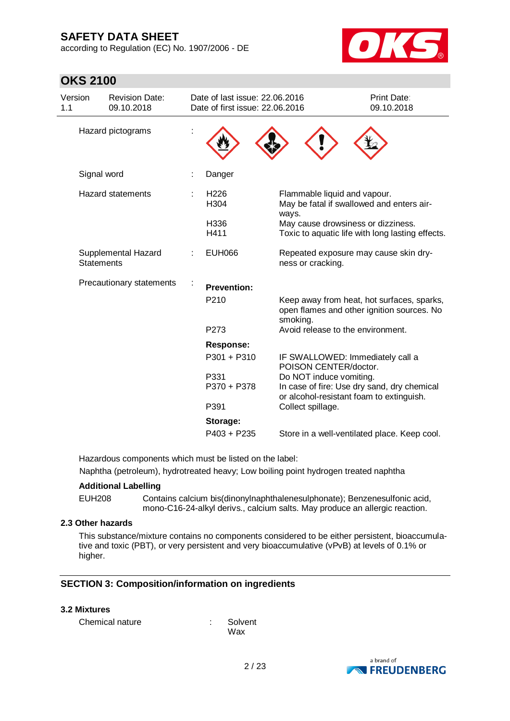according to Regulation (EC) No. 1907/2006 - DE



## **OKS 2100**

| Version<br>1.1 | <b>Revision Date:</b><br>09.10.2018      |  | Date of last issue: 22.06.2016<br>Date of first issue: 22,06,2016 |                                                                                                      | Print Date:<br>09.10.2018                        |
|----------------|------------------------------------------|--|-------------------------------------------------------------------|------------------------------------------------------------------------------------------------------|--------------------------------------------------|
|                | Hazard pictograms                        |  |                                                                   |                                                                                                      |                                                  |
|                | Signal word                              |  | Danger                                                            |                                                                                                      |                                                  |
|                | <b>Hazard statements</b>                 |  | H <sub>226</sub><br>H304                                          | Flammable liquid and vapour.<br>May be fatal if swallowed and enters air-<br>ways.                   |                                                  |
|                |                                          |  | H336<br>H411                                                      | May cause drowsiness or dizziness.                                                                   | Toxic to aquatic life with long lasting effects. |
|                | Supplemental Hazard<br><b>Statements</b> |  | <b>EUH066</b>                                                     | Repeated exposure may cause skin dry-<br>ness or cracking.                                           |                                                  |
|                | Precautionary statements                 |  | <b>Prevention:</b>                                                |                                                                                                      |                                                  |
|                |                                          |  | P210                                                              | Keep away from heat, hot surfaces, sparks,<br>open flames and other ignition sources. No<br>smoking. |                                                  |
|                |                                          |  | P273                                                              | Avoid release to the environment.                                                                    |                                                  |
|                |                                          |  | <b>Response:</b>                                                  |                                                                                                      |                                                  |
|                |                                          |  | $P301 + P310$                                                     | IF SWALLOWED: Immediately call a<br>POISON CENTER/doctor.                                            |                                                  |
|                |                                          |  | P331                                                              | Do NOT induce vomiting.                                                                              |                                                  |
|                |                                          |  | P370 + P378                                                       | In case of fire: Use dry sand, dry chemical<br>or alcohol-resistant foam to extinguish.              |                                                  |
|                |                                          |  | P391                                                              | Collect spillage.                                                                                    |                                                  |
|                |                                          |  | Storage:                                                          |                                                                                                      |                                                  |
|                |                                          |  | $P403 + P235$                                                     | Store in a well-ventilated place. Keep cool.                                                         |                                                  |

Hazardous components which must be listed on the label:

Naphtha (petroleum), hydrotreated heavy; Low boiling point hydrogen treated naphtha

### **Additional Labelling**

EUH208 Contains calcium bis(dinonylnaphthalenesulphonate); Benzenesulfonic acid, mono-C16-24-alkyl derivs., calcium salts. May produce an allergic reaction.

### **2.3 Other hazards**

This substance/mixture contains no components considered to be either persistent, bioaccumulative and toxic (PBT), or very persistent and very bioaccumulative (vPvB) at levels of 0.1% or higher.

## **SECTION 3: Composition/information on ingredients**

#### **3.2 Mixtures**

| Chemical nature |  |  |  |
|-----------------|--|--|--|
|-----------------|--|--|--|

: Solvent Wax

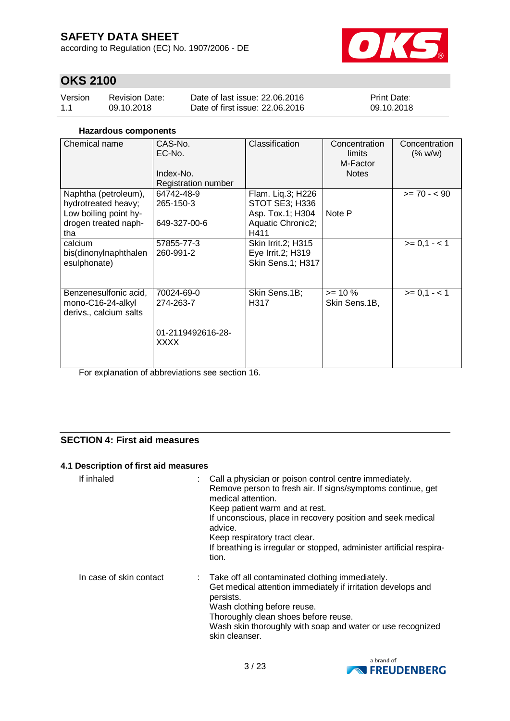according to Regulation (EC) No. 1907/2006 - DE



## **OKS 2100**

| Version | Revision Date: | Date of last issue: 22.06.2016  | <b>Print Date:</b> |
|---------|----------------|---------------------------------|--------------------|
| 1.1     | 09.10.2018     | Date of first issue: 22.06.2016 | 09.10.2018         |

## **Hazardous components**

| Chemical name                                                                                       | CAS-No.<br>EC-No.<br>Index-No.<br>Registration number       | Classification                                                                              | Concentration<br>limits<br>M-Factor<br><b>Notes</b> | Concentration<br>(% w/w) |
|-----------------------------------------------------------------------------------------------------|-------------------------------------------------------------|---------------------------------------------------------------------------------------------|-----------------------------------------------------|--------------------------|
| Naphtha (petroleum),<br>hydrotreated heavy;<br>Low boiling point hy-<br>drogen treated naph-<br>tha | 64742-48-9<br>265-150-3<br>649-327-00-6                     | Flam. Liq.3; H226<br><b>STOT SE3; H336</b><br>Asp. Tox.1; H304<br>Aquatic Chronic2;<br>H411 | Note P                                              | $>= 70 - 90$             |
| calcium<br>bis(dinonylnaphthalen<br>esulphonate)                                                    | 57855-77-3<br>260-991-2                                     | <b>Skin Irrit.2; H315</b><br>Eye Irrit.2; H319<br>Skin Sens.1; H317                         |                                                     | $>= 0, 1 - 1$            |
| Benzenesulfonic acid,<br>mono-C16-24-alkyl<br>derivs., calcium salts                                | 70024-69-0<br>274-263-7<br>01-2119492616-28-<br><b>XXXX</b> | Skin Sens.1B;<br>H317                                                                       | $>= 10 \%$<br>Skin Sens.1B,                         | $>= 0, 1 - 1$            |

For explanation of abbreviations see section 16.

## **SECTION 4: First aid measures**

## **4.1 Description of first aid measures**

| If inhaled              | : Call a physician or poison control centre immediately.<br>Remove person to fresh air. If signs/symptoms continue, get<br>medical attention.<br>Keep patient warm and at rest.<br>If unconscious, place in recovery position and seek medical<br>advice.<br>Keep respiratory tract clear.<br>If breathing is irregular or stopped, administer artificial respira-<br>tion. |
|-------------------------|-----------------------------------------------------------------------------------------------------------------------------------------------------------------------------------------------------------------------------------------------------------------------------------------------------------------------------------------------------------------------------|
| In case of skin contact | : Take off all contaminated clothing immediately.<br>Get medical attention immediately if irritation develops and<br>persists.<br>Wash clothing before reuse.<br>Thoroughly clean shoes before reuse.<br>Wash skin thoroughly with soap and water or use recognized<br>skin cleanser.                                                                                       |

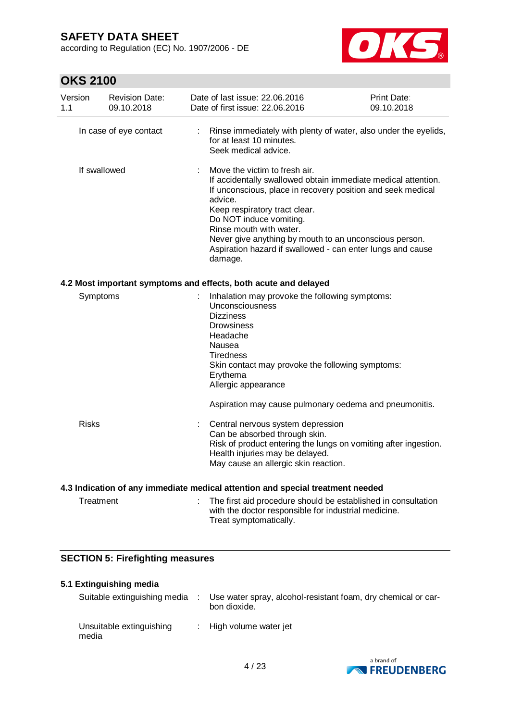according to Regulation (EC) No. 1907/2006 - DE



| Version<br>1.1                          | <b>Revision Date:</b><br>09.10.2018 | Date of last issue: 22.06.2016<br>Date of first issue: 22.06.2016                                                                                                                                                                                                                                                                                                                                  | Print Date:<br>09.10.2018 |  |  |
|-----------------------------------------|-------------------------------------|----------------------------------------------------------------------------------------------------------------------------------------------------------------------------------------------------------------------------------------------------------------------------------------------------------------------------------------------------------------------------------------------------|---------------------------|--|--|
|                                         | In case of eye contact              | Rinse immediately with plenty of water, also under the eyelids,<br>for at least 10 minutes.<br>Seek medical advice.                                                                                                                                                                                                                                                                                |                           |  |  |
| If swallowed                            |                                     | Move the victim to fresh air.<br>If accidentally swallowed obtain immediate medical attention.<br>If unconscious, place in recovery position and seek medical<br>advice.<br>Keep respiratory tract clear.<br>Do NOT induce vomiting.<br>Rinse mouth with water.<br>Never give anything by mouth to an unconscious person.<br>Aspiration hazard if swallowed - can enter lungs and cause<br>damage. |                           |  |  |
|                                         |                                     | 4.2 Most important symptoms and effects, both acute and delayed                                                                                                                                                                                                                                                                                                                                    |                           |  |  |
| Symptoms                                |                                     | Inhalation may provoke the following symptoms:<br>Unconsciousness<br><b>Dizziness</b><br><b>Drowsiness</b><br>Headache<br>Nausea<br><b>Tiredness</b><br>Skin contact may provoke the following symptoms:<br>Erythema<br>Allergic appearance<br>Aspiration may cause pulmonary oedema and pneumonitis.                                                                                              |                           |  |  |
| <b>Risks</b>                            |                                     | Central nervous system depression<br>Can be absorbed through skin.<br>Risk of product entering the lungs on vomiting after ingestion.<br>Health injuries may be delayed.<br>May cause an allergic skin reaction.                                                                                                                                                                                   |                           |  |  |
|                                         |                                     | 4.3 Indication of any immediate medical attention and special treatment needed                                                                                                                                                                                                                                                                                                                     |                           |  |  |
| Treatment                               |                                     | The first aid procedure should be established in consultation<br>with the doctor responsible for industrial medicine.<br>Treat symptomatically.                                                                                                                                                                                                                                                    |                           |  |  |
| <b>SECTION 5: Firefighting measures</b> |                                     |                                                                                                                                                                                                                                                                                                                                                                                                    |                           |  |  |
|                                         |                                     |                                                                                                                                                                                                                                                                                                                                                                                                    |                           |  |  |
|                                         | 5.1 Extinguishing media             |                                                                                                                                                                                                                                                                                                                                                                                                    |                           |  |  |

| Suitable extinguishing media      | Use water spray, alcohol-resistant foam, dry chemical or car-<br>bon dioxide. |
|-----------------------------------|-------------------------------------------------------------------------------|
| Unsuitable extinguishing<br>media | : High volume water jet                                                       |

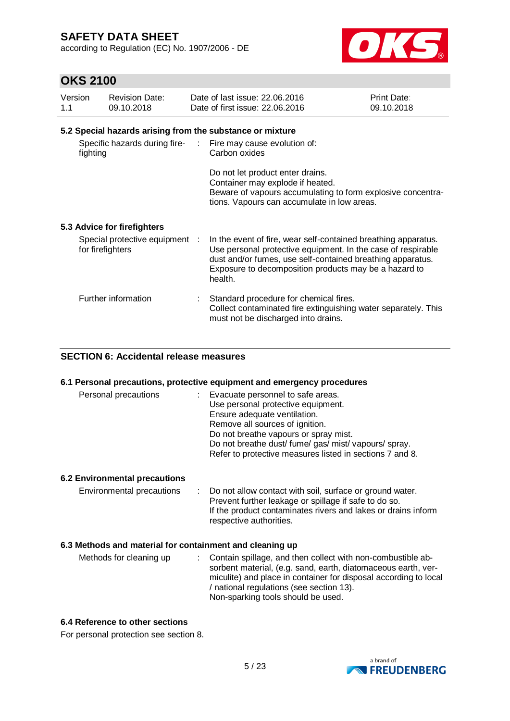according to Regulation (EC) No. 1907/2006 - DE



## **OKS 2100**

| Version<br>1.1 | <b>Revision Date:</b><br>09.10.2018                       | Date of last issue: 22.06.2016<br>Date of first issue: 22.06.2016                                                                                                                                                                                                | Print Date:<br>09.10.2018 |
|----------------|-----------------------------------------------------------|------------------------------------------------------------------------------------------------------------------------------------------------------------------------------------------------------------------------------------------------------------------|---------------------------|
|                | 5.2 Special hazards arising from the substance or mixture |                                                                                                                                                                                                                                                                  |                           |
|                | fighting                                                  | Specific hazards during fire- : Fire may cause evolution of:<br>Carbon oxides                                                                                                                                                                                    |                           |
|                |                                                           | Do not let product enter drains.<br>Container may explode if heated.<br>Beware of vapours accumulating to form explosive concentra-<br>tions. Vapours can accumulate in low areas.                                                                               |                           |
|                | 5.3 Advice for firefighters                               |                                                                                                                                                                                                                                                                  |                           |
|                | Special protective equipment :<br>for firefighters        | In the event of fire, wear self-contained breathing apparatus.<br>Use personal protective equipment. In the case of respirable<br>dust and/or fumes, use self-contained breathing apparatus.<br>Exposure to decomposition products may be a hazard to<br>health. |                           |
|                | Further information                                       | Standard procedure for chemical fires.<br>Collect contaminated fire extinguishing water separately. This<br>must not be discharged into drains.                                                                                                                  |                           |

## **SECTION 6: Accidental release measures**

#### **6.1 Personal precautions, protective equipment and emergency procedures**

| Personal precautions | : Evacuate personnel to safe areas.<br>Use personal protective equipment.<br>Ensure adequate ventilation.<br>Remove all sources of ignition.<br>Do not breathe vapours or spray mist.<br>Do not breathe dust/ fume/ gas/ mist/ vapours/ spray. |
|----------------------|------------------------------------------------------------------------------------------------------------------------------------------------------------------------------------------------------------------------------------------------|
|                      | Refer to protective measures listed in sections 7 and 8.                                                                                                                                                                                       |

### **6.2 Environmental precautions**

Environmental precautions : Do not allow contact with soil, surface or ground water. Prevent further leakage or spillage if safe to do so. If the product contaminates rivers and lakes or drains inform respective authorities.

### **6.3 Methods and material for containment and cleaning up**

| Methods for cleaning up | : Contain spillage, and then collect with non-combustible ab-    |
|-------------------------|------------------------------------------------------------------|
|                         | sorbent material, (e.g. sand, earth, diatomaceous earth, ver-    |
|                         | miculite) and place in container for disposal according to local |
|                         | / national regulations (see section 13).                         |
|                         | Non-sparking tools should be used.                               |

## **6.4 Reference to other sections**

For personal protection see section 8.

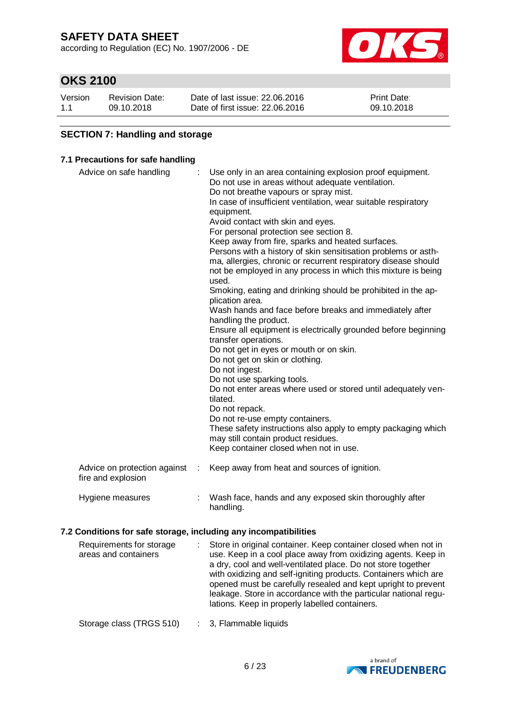according to Regulation (EC) No. 1907/2006 - DE



## **OKS 2100**

| Version | <b>Revision Date:</b> | Date of last issue: 22,06,2016  | <b>Print Date:</b> |
|---------|-----------------------|---------------------------------|--------------------|
| 1.1     | 09.10.2018            | Date of first issue: 22,06,2016 | 09.10.2018         |

## **SECTION 7: Handling and storage**

## **7.1 Precautions for safe handling**

| Advice on safe handling                            | Use only in an area containing explosion proof equipment.<br>Do not use in areas without adequate ventilation.<br>Do not breathe vapours or spray mist.<br>In case of insufficient ventilation, wear suitable respiratory<br>equipment.<br>Avoid contact with skin and eyes.<br>For personal protection see section 8.<br>Keep away from fire, sparks and heated surfaces.<br>Persons with a history of skin sensitisation problems or asth-<br>ma, allergies, chronic or recurrent respiratory disease should<br>not be employed in any process in which this mixture is being<br>used.<br>Smoking, eating and drinking should be prohibited in the ap-<br>plication area.<br>Wash hands and face before breaks and immediately after<br>handling the product.<br>Ensure all equipment is electrically grounded before beginning<br>transfer operations.<br>Do not get in eyes or mouth or on skin.<br>Do not get on skin or clothing.<br>Do not ingest.<br>Do not use sparking tools.<br>Do not enter areas where used or stored until adequately ven-<br>tilated.<br>Do not repack.<br>Do not re-use empty containers.<br>These safety instructions also apply to empty packaging which<br>may still contain product residues.<br>Keep container closed when not in use. |
|----------------------------------------------------|-----------------------------------------------------------------------------------------------------------------------------------------------------------------------------------------------------------------------------------------------------------------------------------------------------------------------------------------------------------------------------------------------------------------------------------------------------------------------------------------------------------------------------------------------------------------------------------------------------------------------------------------------------------------------------------------------------------------------------------------------------------------------------------------------------------------------------------------------------------------------------------------------------------------------------------------------------------------------------------------------------------------------------------------------------------------------------------------------------------------------------------------------------------------------------------------------------------------------------------------------------------------------------|
| Advice on protection against<br>fire and explosion | Keep away from heat and sources of ignition.                                                                                                                                                                                                                                                                                                                                                                                                                                                                                                                                                                                                                                                                                                                                                                                                                                                                                                                                                                                                                                                                                                                                                                                                                                |
| Hygiene measures                                   | Wash face, hands and any exposed skin thoroughly after<br>handling.                                                                                                                                                                                                                                                                                                                                                                                                                                                                                                                                                                                                                                                                                                                                                                                                                                                                                                                                                                                                                                                                                                                                                                                                         |

## **7.2 Conditions for safe storage, including any incompatibilities**

| Requirements for storage<br>areas and containers | Store in original container. Keep container closed when not in<br>use. Keep in a cool place away from oxidizing agents. Keep in<br>a dry, cool and well-ventilated place. Do not store together<br>with oxidizing and self-igniting products. Containers which are<br>opened must be carefully resealed and kept upright to prevent<br>leakage. Store in accordance with the particular national regu-<br>lations. Keep in properly labelled containers. |
|--------------------------------------------------|----------------------------------------------------------------------------------------------------------------------------------------------------------------------------------------------------------------------------------------------------------------------------------------------------------------------------------------------------------------------------------------------------------------------------------------------------------|
| Storage class (TRGS 510)                         | : 3, Flammable liquids                                                                                                                                                                                                                                                                                                                                                                                                                                   |

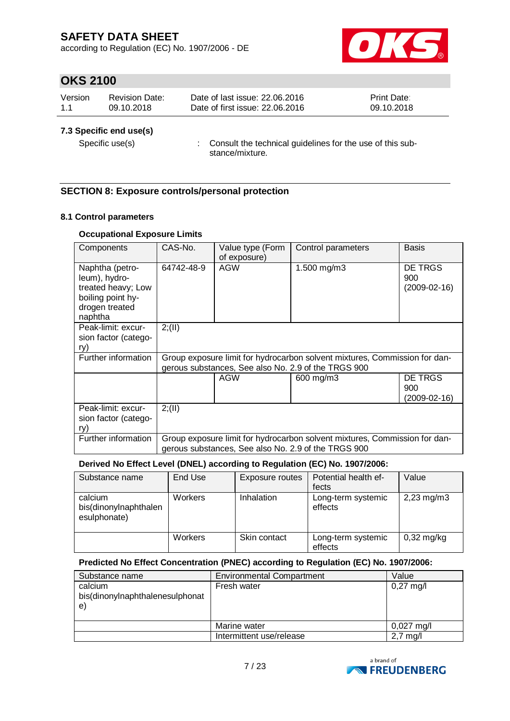according to Regulation (EC) No. 1907/2006 - DE



## **OKS 2100**

| Version | <b>Revision Date:</b> | Date of last issue: 22,06,2016  | <b>Print Date:</b> |
|---------|-----------------------|---------------------------------|--------------------|
| 1.1     | 09.10.2018            | Date of first issue: 22,06,2016 | 09.10.2018         |

## **7.3 Specific end use(s)**

Specific use(s) : Consult the technical guidelines for the use of this substance/mixture.

## **SECTION 8: Exposure controls/personal protection**

## **8.1 Control parameters**

## **Occupational Exposure Limits**

| Components                                                                                               | CAS-No.    | Value type (Form<br>of exposure) | Control parameters                                                                                                                | <b>Basis</b>                          |
|----------------------------------------------------------------------------------------------------------|------------|----------------------------------|-----------------------------------------------------------------------------------------------------------------------------------|---------------------------------------|
| Naphtha (petro-<br>leum), hydro-<br>treated heavy; Low<br>boiling point hy-<br>drogen treated<br>naphtha | 64742-48-9 | AGW                              | 1.500 mg/m3                                                                                                                       | DE TRGS<br>900<br>$(2009-02-16)$      |
| Peak-limit: excur-<br>sion factor (catego-<br>ry)                                                        | 2; (II)    |                                  |                                                                                                                                   |                                       |
| Further information                                                                                      |            |                                  | Group exposure limit for hydrocarbon solvent mixtures, Commission for dan-<br>gerous substances, See also No. 2.9 of the TRGS 900 |                                       |
|                                                                                                          |            | <b>AGW</b>                       | 600 mg/m3                                                                                                                         | <b>DE TRGS</b><br>900<br>(2009-02-16) |
| Peak-limit: excur-<br>sion factor (catego-<br>ry)                                                        | 2; (II)    |                                  |                                                                                                                                   |                                       |
| Further information                                                                                      |            |                                  | Group exposure limit for hydrocarbon solvent mixtures, Commission for dan-<br>gerous substances, See also No. 2.9 of the TRGS 900 |                                       |

### **Derived No Effect Level (DNEL) according to Regulation (EC) No. 1907/2006:**

| Substance name                                   | End Use        | Exposure routes | Potential health ef-<br>fects | Value                   |
|--------------------------------------------------|----------------|-----------------|-------------------------------|-------------------------|
| calcium<br>bis(dinonylnaphthalen<br>esulphonate) | <b>Workers</b> | Inhalation      | Long-term systemic<br>effects | $2,23 \,\mathrm{mg/m3}$ |
|                                                  | <b>Workers</b> | Skin contact    | Long-term systemic<br>effects | $0,32$ mg/kg            |

### **Predicted No Effect Concentration (PNEC) according to Regulation (EC) No. 1907/2006:**

| Substance name                                   | <b>Environmental Compartment</b> | Value                |
|--------------------------------------------------|----------------------------------|----------------------|
| calcium<br>bis(dinonylnaphthalenesulphonat<br>e) | Fresh water                      | $0,27 \text{ mg/l}$  |
|                                                  | Marine water                     | $0,027 \text{ mg/l}$ |
|                                                  | Intermittent use/release         | $2.7 \text{ m}$ g/l  |

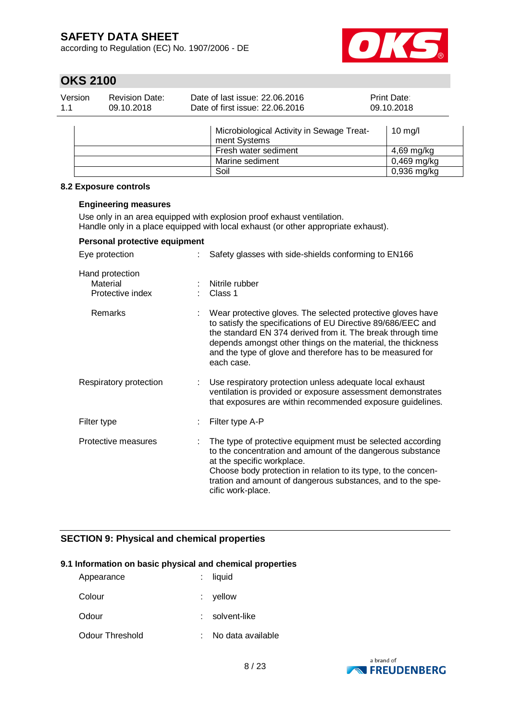according to Regulation (EC) No. 1907/2006 - DE



# **OKS 2100**

| Version | <b>Revision Date:</b> | Date of last issue: 22.06.2016  | <b>Print Date:</b> |
|---------|-----------------------|---------------------------------|--------------------|
| 1.1     | 09.10.2018            | Date of first issue: 22.06.2016 | 09.10.2018         |
|         |                       |                                 |                    |

| Microbiological Activity in Sewage Treat-<br>ment Systems | $10 \text{ mg/l}$ |
|-----------------------------------------------------------|-------------------|
| Fresh water sediment                                      | 4,69 mg/kg        |
| Marine sediment                                           | 0,469 mg/kg       |
| Soil                                                      | $0,936$ mg/kg     |

### **8.2 Exposure controls**

#### **Engineering measures**

Use only in an area equipped with explosion proof exhaust ventilation. Handle only in a place equipped with local exhaust (or other appropriate exhaust).

## **Personal protective equipment**

| Eye protection                                  | Safety glasses with side-shields conforming to EN166                                                                                                                                                                                                                                                                                  |
|-------------------------------------------------|---------------------------------------------------------------------------------------------------------------------------------------------------------------------------------------------------------------------------------------------------------------------------------------------------------------------------------------|
| Hand protection<br>Material<br>Protective index | Nitrile rubber<br>Class 1                                                                                                                                                                                                                                                                                                             |
| Remarks                                         | Wear protective gloves. The selected protective gloves have<br>to satisfy the specifications of EU Directive 89/686/EEC and<br>the standard EN 374 derived from it. The break through time<br>depends amongst other things on the material, the thickness<br>and the type of glove and therefore has to be measured for<br>each case. |
| Respiratory protection                          | Use respiratory protection unless adequate local exhaust<br>ventilation is provided or exposure assessment demonstrates<br>that exposures are within recommended exposure guidelines.                                                                                                                                                 |
| Filter type                                     | Filter type A-P                                                                                                                                                                                                                                                                                                                       |
| Protective measures                             | The type of protective equipment must be selected according<br>to the concentration and amount of the dangerous substance<br>at the specific workplace.<br>Choose body protection in relation to its type, to the concen-<br>tration and amount of dangerous substances, and to the spe-<br>cific work-place.                         |

## **SECTION 9: Physical and chemical properties**

## **9.1 Information on basic physical and chemical properties**

| Appearance      | $:$ liquid        |
|-----------------|-------------------|
| Colour          | $:$ vellow        |
| Odour           | solvent-like      |
| Odour Threshold | No data available |

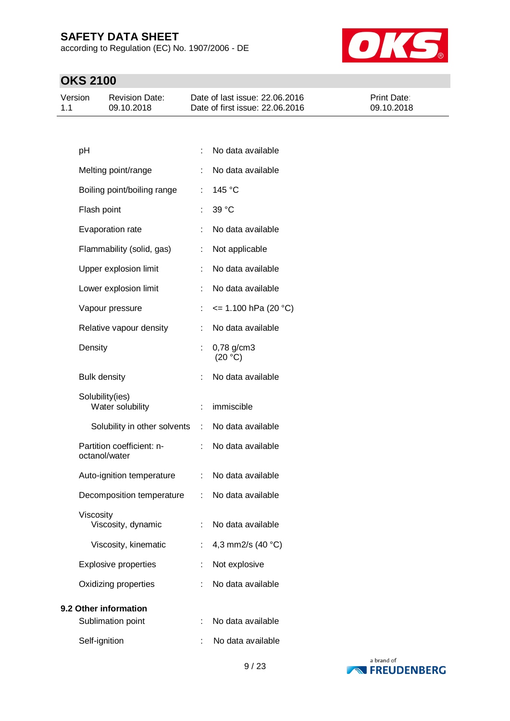according to Regulation (EC) No. 1907/2006 - DE



| Date of last issue: 22,06,2016<br><b>Print Date:</b><br>Version<br>Revision Date:<br>Date of first issue: 22,06,2016<br>09.10.2018<br>09.10.2018<br>$-1.1$ |  |
|------------------------------------------------------------------------------------------------------------------------------------------------------------|--|
|------------------------------------------------------------------------------------------------------------------------------------------------------------|--|

| рH                                         |                           | No data available     |
|--------------------------------------------|---------------------------|-----------------------|
| Melting point/range                        | ÷                         | No data available     |
| Boiling point/boiling range                | t.                        | 145 °C                |
| Flash point                                | t.                        | 39 °C                 |
| Evaporation rate                           | ÷                         | No data available     |
| Flammability (solid, gas)                  | t,                        | Not applicable        |
| Upper explosion limit                      |                           | No data available     |
| Lower explosion limit                      | ÷.                        | No data available     |
| Vapour pressure                            |                           | $= 1.100$ hPa (20 °C) |
| Relative vapour density                    | ÷                         | No data available     |
| Density                                    |                           | 0,78 g/cm3<br>(20 °C) |
| <b>Bulk density</b>                        |                           | No data available     |
| Solubility(ies)<br>Water solubility        | t.                        | immiscible            |
| Solubility in other solvents               | $\mathbb{R}^{\mathbb{Z}}$ | No data available     |
| Partition coefficient: n-<br>octanol/water | t.                        | No data available     |
| Auto-ignition temperature                  | t.                        | No data available     |
| Decomposition temperature                  | t.                        | No data available     |
| Viscosity<br>Viscosity, dynamic            |                           | No data available     |
| Viscosity, kinematic                       |                           | 4,3 mm2/s (40 °C)     |
| <b>Explosive properties</b>                | t.                        | Not explosive         |
| Oxidizing properties                       |                           | No data available     |
| 9.2 Other information                      |                           |                       |
| Sublimation point                          |                           | No data available     |
| Self-ignition                              |                           | No data available     |

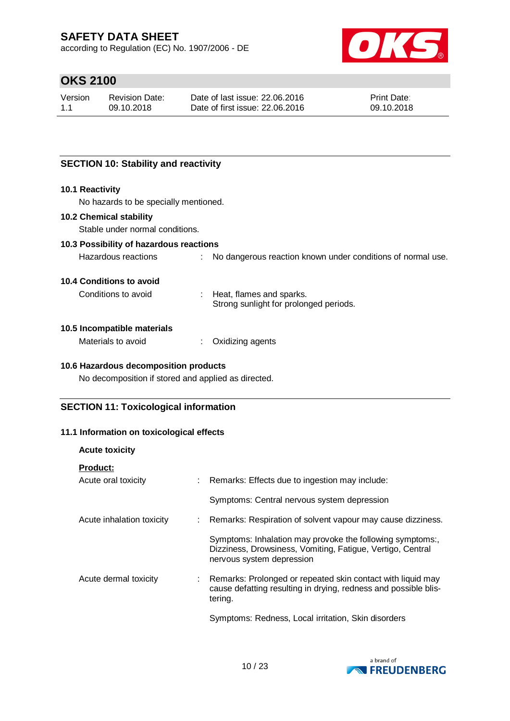according to Regulation (EC) No. 1907/2006 - DE



# **OKS 2100**

| Version | <b>Revision Date:</b> | Date of last issue: 22,06,2016  | <b>Print Date:</b> |
|---------|-----------------------|---------------------------------|--------------------|
| 1.1     | 09.10.2018            | Date of first issue: 22,06,2016 | 09.10.2018         |

## **SECTION 10: Stability and reactivity**

#### **10.1 Reactivity**

No hazards to be specially mentioned.

## **10.2 Chemical stability**

Stable under normal conditions.

## **10.3 Possibility of hazardous reactions**

| Hazardous reactions |  | No dangerous reaction known under conditions of normal use. |
|---------------------|--|-------------------------------------------------------------|
|---------------------|--|-------------------------------------------------------------|

#### **10.4 Conditions to avoid**

Conditions to avoid : Heat, flames and sparks.

Strong sunlight for prolonged periods.

#### **10.5 Incompatible materials**

Materials to avoid : Oxidizing agents

### **10.6 Hazardous decomposition products**

No decomposition if stored and applied as directed.

## **SECTION 11: Toxicological information**

### **11.1 Information on toxicological effects**

| <b>Acute toxicity</b>     |                                                                                                                                                      |
|---------------------------|------------------------------------------------------------------------------------------------------------------------------------------------------|
| <b>Product:</b>           |                                                                                                                                                      |
| Acute oral toxicity       | Remarks: Effects due to ingestion may include:                                                                                                       |
|                           | Symptoms: Central nervous system depression                                                                                                          |
| Acute inhalation toxicity | : Remarks: Respiration of solvent vapour may cause dizziness.                                                                                        |
|                           | Symptoms: Inhalation may provoke the following symptoms:,<br>Dizziness, Drowsiness, Vomiting, Fatigue, Vertigo, Central<br>nervous system depression |
| Acute dermal toxicity     | : Remarks: Prolonged or repeated skin contact with liquid may<br>cause defatting resulting in drying, redness and possible blis-<br>tering.          |
|                           | Symptoms: Redness, Local irritation, Skin disorders                                                                                                  |

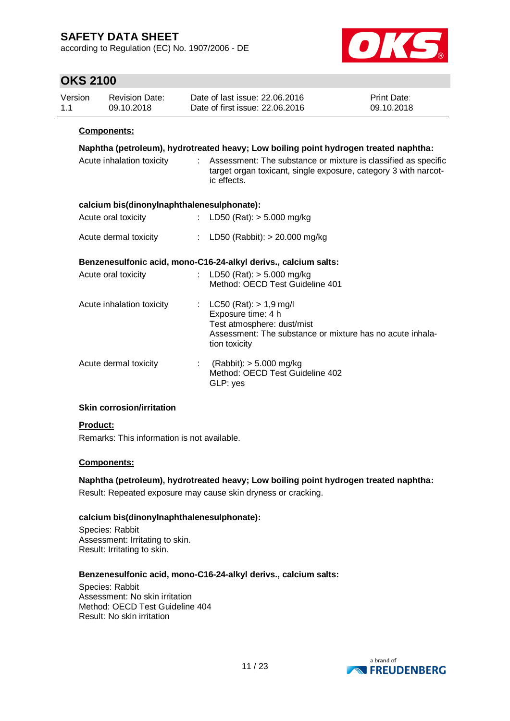according to Regulation (EC) No. 1907/2006 - DE



## **OKS 2100**

| <b>OKS 2100</b> |                                            |                  |                                                                                                                                                              |                           |
|-----------------|--------------------------------------------|------------------|--------------------------------------------------------------------------------------------------------------------------------------------------------------|---------------------------|
| Version<br>1.1  | <b>Revision Date:</b><br>09.10.2018        |                  | Date of last issue: 22.06.2016<br>Date of first issue: 22,06,2016                                                                                            | Print Date:<br>09.10.2018 |
|                 | Components:                                |                  |                                                                                                                                                              |                           |
|                 |                                            |                  | Naphtha (petroleum), hydrotreated heavy; Low boiling point hydrogen treated naphtha:                                                                         |                           |
|                 | Acute inhalation toxicity                  |                  | : Assessment: The substance or mixture is classified as specific<br>target organ toxicant, single exposure, category 3 with narcot-<br>ic effects.           |                           |
|                 | calcium bis(dinonylnaphthalenesulphonate): |                  |                                                                                                                                                              |                           |
|                 | Acute oral toxicity                        | $\mathbb{R}^{n}$ | LD50 (Rat): $> 5.000$ mg/kg                                                                                                                                  |                           |
|                 | Acute dermal toxicity                      |                  | : LD50 (Rabbit): $> 20.000$ mg/kg                                                                                                                            |                           |
|                 |                                            |                  | Benzenesulfonic acid, mono-C16-24-alkyl derivs., calcium salts:                                                                                              |                           |
|                 | Acute oral toxicity                        |                  | : LD50 (Rat): $> 5.000$ mg/kg<br>Method: OECD Test Guideline 401                                                                                             |                           |
|                 | Acute inhalation toxicity                  |                  | : LC50 (Rat): $> 1.9$ mg/l<br>Exposure time: 4 h<br>Test atmosphere: dust/mist<br>Assessment: The substance or mixture has no acute inhala-<br>tion toxicity |                           |
|                 | Acute dermal toxicity                      |                  | : $(Rabbit)$ : $> 5.000$ mg/kg<br>Method: OECD Test Guideline 402<br>GLP: yes                                                                                |                           |

## **Skin corrosion/irritation**

### **Product:**

Remarks: This information is not available.

### **Components:**

**Naphtha (petroleum), hydrotreated heavy; Low boiling point hydrogen treated naphtha:** Result: Repeated exposure may cause skin dryness or cracking.

### **calcium bis(dinonylnaphthalenesulphonate):**

Species: Rabbit Assessment: Irritating to skin. Result: Irritating to skin.

### **Benzenesulfonic acid, mono-C16-24-alkyl derivs., calcium salts:**

Species: Rabbit Assessment: No skin irritation Method: OECD Test Guideline 404 Result: No skin irritation

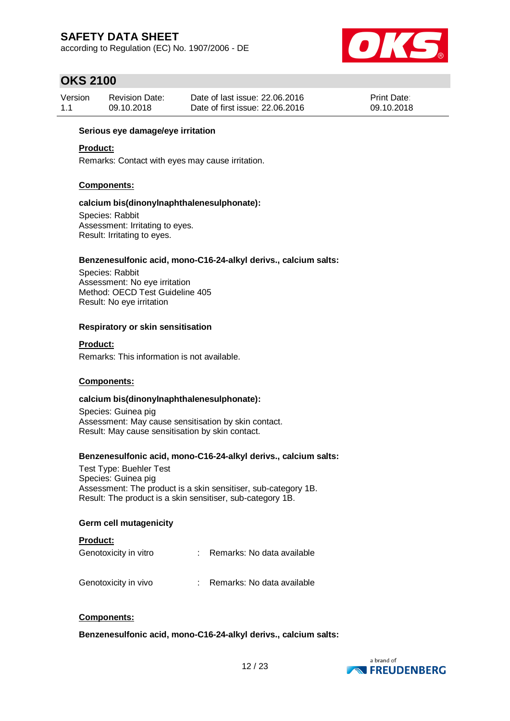according to Regulation (EC) No. 1907/2006 - DE



## **OKS 2100**

| Version | <b>Revision Date:</b> | Date of last issue: 22,06,2016  | <b>Print Date:</b> |
|---------|-----------------------|---------------------------------|--------------------|
| 1.1     | 09.10.2018            | Date of first issue: 22,06,2016 | 09.10.2018         |

#### **Serious eye damage/eye irritation**

#### **Product:**

Remarks: Contact with eyes may cause irritation.

#### **Components:**

#### **calcium bis(dinonylnaphthalenesulphonate):**

Species: Rabbit Assessment: Irritating to eyes. Result: Irritating to eyes.

## **Benzenesulfonic acid, mono-C16-24-alkyl derivs., calcium salts:**

Species: Rabbit Assessment: No eye irritation Method: OECD Test Guideline 405 Result: No eye irritation

#### **Respiratory or skin sensitisation**

**Product:**

Remarks: This information is not available.

### **Components:**

#### **calcium bis(dinonylnaphthalenesulphonate):**

Species: Guinea pig Assessment: May cause sensitisation by skin contact. Result: May cause sensitisation by skin contact.

#### **Benzenesulfonic acid, mono-C16-24-alkyl derivs., calcium salts:**

Test Type: Buehler Test Species: Guinea pig Assessment: The product is a skin sensitiser, sub-category 1B. Result: The product is a skin sensitiser, sub-category 1B.

#### **Germ cell mutagenicity**

| <b>Product:</b>       |                              |
|-----------------------|------------------------------|
| Genotoxicity in vitro | Remarks: No data available   |
| Genotoxicity in vivo  | : Remarks: No data available |

#### **Components:**

**Benzenesulfonic acid, mono-C16-24-alkyl derivs., calcium salts:**

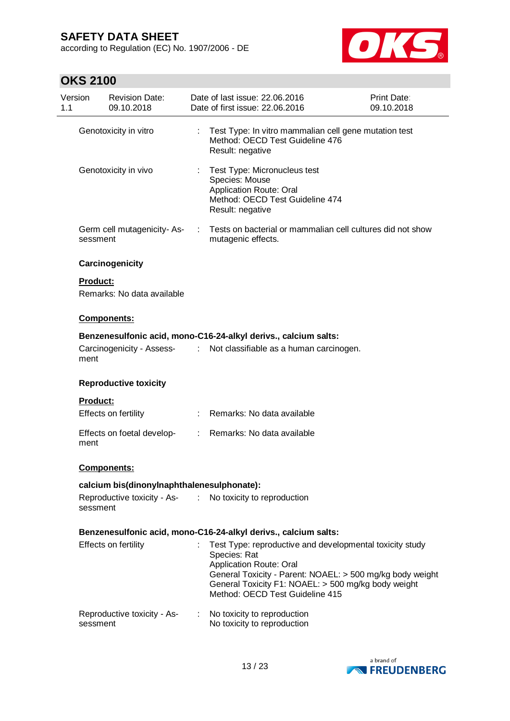according to Regulation (EC) No. 1907/2006 - DE



| Version<br>1.1 | <b>Revision Date:</b><br>09.10.2018        |    | Date of last issue: 22.06.2016<br>Date of first issue: 22.06.2016                                                                                                                                                                                                 | <b>Print Date:</b><br>09.10.2018 |
|----------------|--------------------------------------------|----|-------------------------------------------------------------------------------------------------------------------------------------------------------------------------------------------------------------------------------------------------------------------|----------------------------------|
|                | Genotoxicity in vitro                      | ÷. | Test Type: In vitro mammalian cell gene mutation test<br>Method: OECD Test Guideline 476<br>Result: negative                                                                                                                                                      |                                  |
|                | Genotoxicity in vivo                       |    | Test Type: Micronucleus test<br>Species: Mouse<br>Application Route: Oral<br>Method: OECD Test Guideline 474<br>Result: negative                                                                                                                                  |                                  |
|                | Germ cell mutagenicity-As-<br>sessment     |    | Tests on bacterial or mammalian cell cultures did not show<br>mutagenic effects.                                                                                                                                                                                  |                                  |
|                | Carcinogenicity                            |    |                                                                                                                                                                                                                                                                   |                                  |
|                | Product:<br>Remarks: No data available     |    |                                                                                                                                                                                                                                                                   |                                  |
|                | Components:                                |    |                                                                                                                                                                                                                                                                   |                                  |
|                | Carcinogenicity - Assess- :<br>ment        |    | Benzenesulfonic acid, mono-C16-24-alkyl derivs., calcium salts:<br>Not classifiable as a human carcinogen.                                                                                                                                                        |                                  |
|                | <b>Reproductive toxicity</b>               |    |                                                                                                                                                                                                                                                                   |                                  |
|                | <b>Product:</b>                            |    |                                                                                                                                                                                                                                                                   |                                  |
|                | Effects on fertility                       |    | : Remarks: No data available                                                                                                                                                                                                                                      |                                  |
|                | Effects on foetal develop-<br>ment         | t. | Remarks: No data available                                                                                                                                                                                                                                        |                                  |
|                | <b>Components:</b>                         |    |                                                                                                                                                                                                                                                                   |                                  |
|                | calcium bis(dinonylnaphthalenesulphonate): |    |                                                                                                                                                                                                                                                                   |                                  |
|                | sessment                                   |    | Reproductive toxicity - As- : No toxicity to reproduction                                                                                                                                                                                                         |                                  |
|                |                                            |    | Benzenesulfonic acid, mono-C16-24-alkyl derivs., calcium salts:                                                                                                                                                                                                   |                                  |
|                | Effects on fertility                       |    | Test Type: reproductive and developmental toxicity study<br>Species: Rat<br><b>Application Route: Oral</b><br>General Toxicity - Parent: NOAEL: > 500 mg/kg body weight<br>General Toxicity F1: NOAEL: > 500 mg/kg body weight<br>Method: OECD Test Guideline 415 |                                  |
|                | Reproductive toxicity - As-<br>sessment    |    | No toxicity to reproduction<br>No toxicity to reproduction                                                                                                                                                                                                        |                                  |

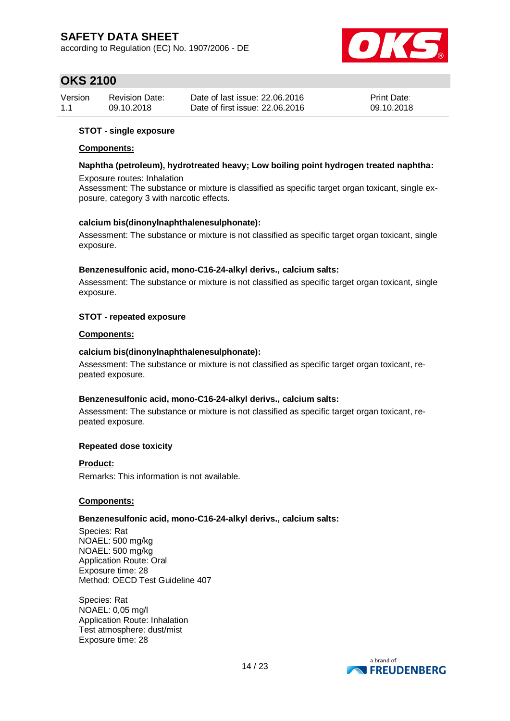according to Regulation (EC) No. 1907/2006 - DE



## **OKS 2100**

| Version | <b>Revision Date:</b> | Date of last issue: 22,06,2016  | <b>Print Date:</b> |
|---------|-----------------------|---------------------------------|--------------------|
| 1.1     | 09.10.2018            | Date of first issue: 22.06.2016 | 09.10.2018         |

### **STOT - single exposure**

#### **Components:**

### **Naphtha (petroleum), hydrotreated heavy; Low boiling point hydrogen treated naphtha:** Exposure routes: Inhalation

Assessment: The substance or mixture is classified as specific target organ toxicant, single exposure, category 3 with narcotic effects.

#### **calcium bis(dinonylnaphthalenesulphonate):**

Assessment: The substance or mixture is not classified as specific target organ toxicant, single exposure.

#### **Benzenesulfonic acid, mono-C16-24-alkyl derivs., calcium salts:**

Assessment: The substance or mixture is not classified as specific target organ toxicant, single exposure.

#### **STOT - repeated exposure**

#### **Components:**

#### **calcium bis(dinonylnaphthalenesulphonate):**

Assessment: The substance or mixture is not classified as specific target organ toxicant, repeated exposure.

#### **Benzenesulfonic acid, mono-C16-24-alkyl derivs., calcium salts:**

Assessment: The substance or mixture is not classified as specific target organ toxicant, repeated exposure.

#### **Repeated dose toxicity**

### **Product:**

Remarks: This information is not available.

### **Components:**

#### **Benzenesulfonic acid, mono-C16-24-alkyl derivs., calcium salts:**

Species: Rat NOAEL: 500 mg/kg NOAEL: 500 mg/kg Application Route: Oral Exposure time: 28 Method: OECD Test Guideline 407

Species: Rat NOAEL: 0,05 mg/l Application Route: Inhalation Test atmosphere: dust/mist Exposure time: 28

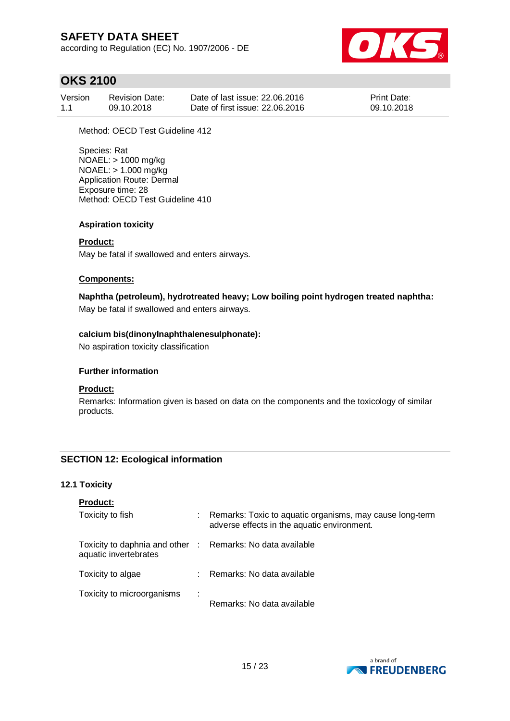according to Regulation (EC) No. 1907/2006 - DE



## **OKS 2100**

| Version | <b>Revision Date:</b> | Date of last issue: 22,06,2016  | <b>Print Date:</b> |
|---------|-----------------------|---------------------------------|--------------------|
| 1.1     | 09.10.2018            | Date of first issue: 22,06,2016 | 09.10.2018         |

Method: OECD Test Guideline 412

Species: Rat NOAEL: > 1000 mg/kg NOAEL: > 1.000 mg/kg Application Route: Dermal Exposure time: 28 Method: OECD Test Guideline 410

## **Aspiration toxicity**

## **Product:**

May be fatal if swallowed and enters airways.

### **Components:**

**Naphtha (petroleum), hydrotreated heavy; Low boiling point hydrogen treated naphtha:** May be fatal if swallowed and enters airways.

### **calcium bis(dinonylnaphthalenesulphonate):**

No aspiration toxicity classification

## **Further information**

### **Product:**

Remarks: Information given is based on data on the components and the toxicology of similar products.

## **SECTION 12: Ecological information**

### **12.1 Toxicity**

| <b>Product:</b>                                                                     |                                                                                                         |
|-------------------------------------------------------------------------------------|---------------------------------------------------------------------------------------------------------|
| Toxicity to fish                                                                    | Remarks: Toxic to aquatic organisms, may cause long-term<br>adverse effects in the aquatic environment. |
| Toxicity to daphnia and other : Remarks: No data available<br>aquatic invertebrates |                                                                                                         |
| Toxicity to algae                                                                   | : Remarks: No data available                                                                            |
| Toxicity to microorganisms<br>÷                                                     | Remarks: No data available                                                                              |

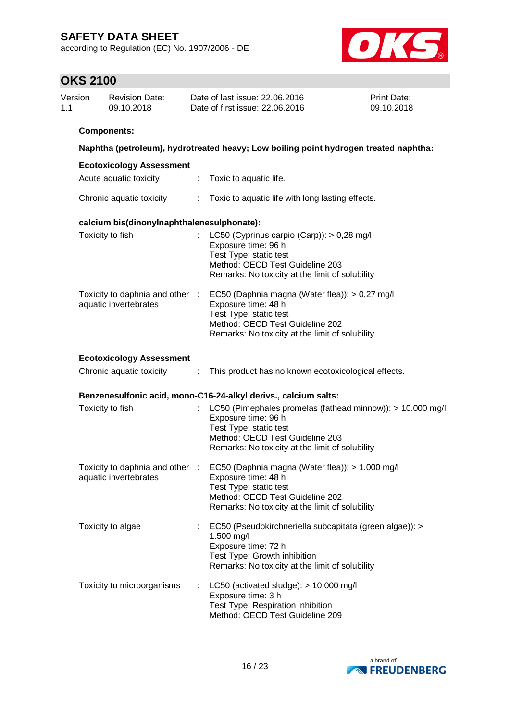according to Regulation (EC) No. 1907/2006 - DE



| Version<br>1.1 | <b>Revision Date:</b><br>09.10.2018                      |                    | Date of last issue: 22.06.2016<br>Date of first issue: 22.06.2016                                                                                                                                                      | <b>Print Date:</b><br>09.10.2018 |
|----------------|----------------------------------------------------------|--------------------|------------------------------------------------------------------------------------------------------------------------------------------------------------------------------------------------------------------------|----------------------------------|
|                | <b>Components:</b>                                       |                    |                                                                                                                                                                                                                        |                                  |
|                |                                                          |                    | Naphtha (petroleum), hydrotreated heavy; Low boiling point hydrogen treated naphtha:                                                                                                                                   |                                  |
|                | <b>Ecotoxicology Assessment</b>                          |                    |                                                                                                                                                                                                                        |                                  |
|                | Acute aquatic toxicity                                   | $\sim 10^{11}$ MeV | Toxic to aquatic life.                                                                                                                                                                                                 |                                  |
|                | Chronic aquatic toxicity                                 |                    | : Toxic to aquatic life with long lasting effects.                                                                                                                                                                     |                                  |
|                | calcium bis(dinonylnaphthalenesulphonate):               |                    |                                                                                                                                                                                                                        |                                  |
|                | Toxicity to fish                                         | t.                 | LC50 (Cyprinus carpio (Carp)): $> 0.28$ mg/l<br>Exposure time: 96 h<br>Test Type: static test<br>Method: OECD Test Guideline 203<br>Remarks: No toxicity at the limit of solubility                                    |                                  |
|                | Toxicity to daphnia and other :<br>aquatic invertebrates |                    | EC50 (Daphnia magna (Water flea)): > 0,27 mg/l<br>Exposure time: 48 h<br>Test Type: static test<br>Method: OECD Test Guideline 202<br>Remarks: No toxicity at the limit of solubility                                  |                                  |
|                | <b>Ecotoxicology Assessment</b>                          |                    |                                                                                                                                                                                                                        |                                  |
|                | Chronic aquatic toxicity                                 | ÷                  | This product has no known ecotoxicological effects.                                                                                                                                                                    |                                  |
|                |                                                          |                    | Benzenesulfonic acid, mono-C16-24-alkyl derivs., calcium salts:                                                                                                                                                        |                                  |
|                | Toxicity to fish                                         |                    | LC50 (Pimephales promelas (fathead minnow)): > 10.000 mg/l<br>Exposure time: 96 h<br>Test Type: static test<br>Method: OECD Test Guideline 203<br>Remarks: No toxicity at the limit of solubility                      |                                  |
|                | aquatic invertebrates                                    |                    | Toxicity to daphnia and other : EC50 (Daphnia magna (Water flea)): > 1.000 mg/l<br>Exposure time: 48 h<br>Test Type: static test<br>Method: OECD Test Guideline 202<br>Remarks: No toxicity at the limit of solubility |                                  |
|                | Toxicity to algae                                        |                    | EC50 (Pseudokirchneriella subcapitata (green algae)): ><br>1.500 mg/l<br>Exposure time: 72 h<br>Test Type: Growth inhibition<br>Remarks: No toxicity at the limit of solubility                                        |                                  |
|                | Toxicity to microorganisms                               |                    | LC50 (activated sludge): > 10.000 mg/l<br>Exposure time: 3 h<br>Test Type: Respiration inhibition<br>Method: OECD Test Guideline 209                                                                                   |                                  |

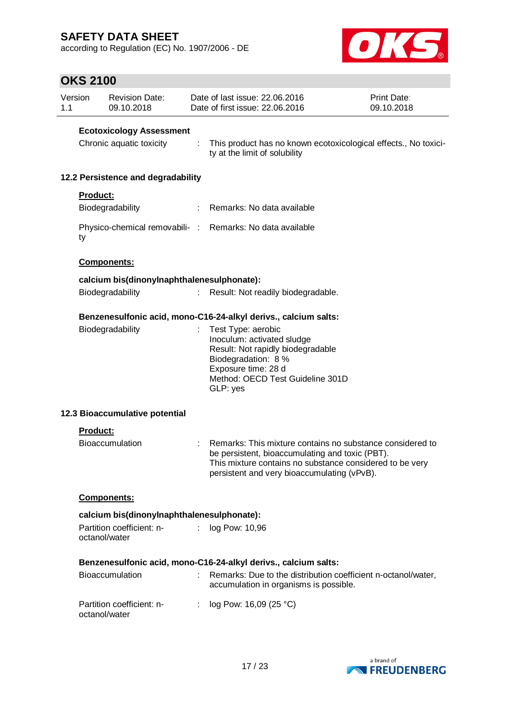according to Regulation (EC) No. 1907/2006 - DE



| 1.1 | Version         | <b>Revision Date:</b><br>09.10.2018                         |    | Date of last issue: 22.06.2016<br>Date of first issue: 22.06.2016                                                                                                                                                       | Print Date:<br>09.10.2018 |
|-----|-----------------|-------------------------------------------------------------|----|-------------------------------------------------------------------------------------------------------------------------------------------------------------------------------------------------------------------------|---------------------------|
|     |                 | <b>Ecotoxicology Assessment</b><br>Chronic aquatic toxicity | ÷  | This product has no known ecotoxicological effects., No toxici-<br>ty at the limit of solubility                                                                                                                        |                           |
|     |                 | 12.2 Persistence and degradability                          |    |                                                                                                                                                                                                                         |                           |
|     | <b>Product:</b> |                                                             |    |                                                                                                                                                                                                                         |                           |
|     |                 | Biodegradability                                            |    | Remarks: No data available                                                                                                                                                                                              |                           |
|     | ty              |                                                             |    | Physico-chemical removabili- : Remarks: No data available                                                                                                                                                               |                           |
|     |                 | Components:                                                 |    |                                                                                                                                                                                                                         |                           |
|     |                 | calcium bis(dinonylnaphthalenesulphonate):                  |    |                                                                                                                                                                                                                         |                           |
|     |                 | Biodegradability                                            |    | Result: Not readily biodegradable.                                                                                                                                                                                      |                           |
|     |                 |                                                             |    | Benzenesulfonic acid, mono-C16-24-alkyl derivs., calcium salts:                                                                                                                                                         |                           |
|     |                 | Biodegradability                                            |    | Test Type: aerobic<br>Inoculum: activated sludge<br>Result: Not rapidly biodegradable<br>Biodegradation: 8 %<br>Exposure time: 28 d<br>Method: OECD Test Guideline 301D<br>GLP: yes                                     |                           |
|     |                 | 12.3 Bioaccumulative potential                              |    |                                                                                                                                                                                                                         |                           |
|     | <b>Product:</b> |                                                             |    |                                                                                                                                                                                                                         |                           |
|     |                 | Bioaccumulation                                             |    | Remarks: This mixture contains no substance considered to<br>be persistent, bioaccumulating and toxic (PBT).<br>This mixture contains no substance considered to be very<br>persistent and very bioaccumulating (vPvB). |                           |
|     |                 | Components:                                                 |    |                                                                                                                                                                                                                         |                           |
|     |                 | calcium bis(dinonylnaphthalenesulphonate):                  |    |                                                                                                                                                                                                                         |                           |
|     |                 | Partition coefficient: n-<br>octanol/water                  | t. | log Pow: 10,96                                                                                                                                                                                                          |                           |
|     |                 |                                                             |    | Benzenesulfonic acid, mono-C16-24-alkyl derivs., calcium salts:                                                                                                                                                         |                           |
|     |                 | <b>Bioaccumulation</b>                                      |    | Remarks: Due to the distribution coefficient n-octanol/water,<br>accumulation in organisms is possible.                                                                                                                 |                           |
|     |                 | Partition coefficient: n-<br>octanol/water                  | t. | log Pow: 16,09 (25 °C)                                                                                                                                                                                                  |                           |

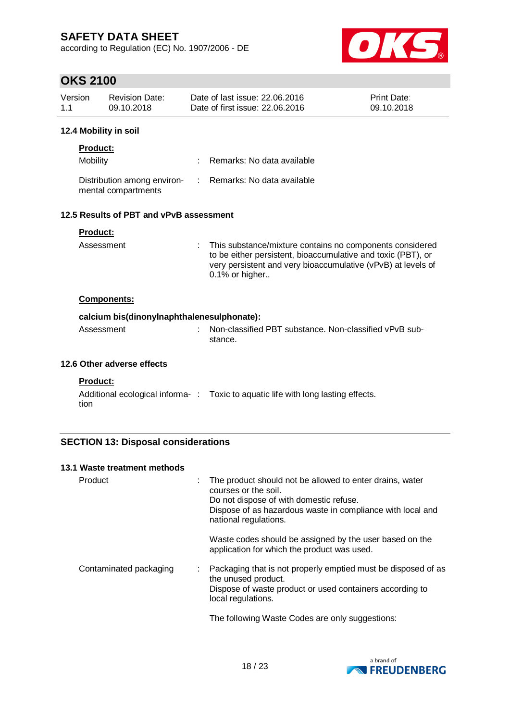according to Regulation (EC) No. 1907/2006 - DE



substance. Non-classified vPvB sub-

## **OKS 2100**

| 12 4 Mobility in soil |                       |                                 |                    |
|-----------------------|-----------------------|---------------------------------|--------------------|
| 11                    | 09.10.2018            | Date of first issue: 22.06.2016 | 09.10.2018         |
| Version               | <b>Revision Date:</b> | Date of last issue: 22,06,2016  | <b>Print Date:</b> |

## **12.4 Mobility in soil**

| <b>Product:</b>                                    |                            |
|----------------------------------------------------|----------------------------|
| Mobility                                           | Remarks: No data available |
| Distribution among environ-<br>mental compartments | Remarks: No data available |

## **12.5 Results of PBT and vPvB assessment**

|  |  | Product |  |  |
|--|--|---------|--|--|
|  |  |         |  |  |

| Assessment | : This substance/mixture contains no components considered<br>to be either persistent, bioaccumulative and toxic (PBT), or<br>very persistent and very bioaccumulative (vPvB) at levels of<br>$0.1\%$ or higher |
|------------|-----------------------------------------------------------------------------------------------------------------------------------------------------------------------------------------------------------------|
|------------|-----------------------------------------------------------------------------------------------------------------------------------------------------------------------------------------------------------------|

### **Components:**

## **calcium bis(dinonylnaphthalenesulphonate):**

| Assessment | : Non-classified PBT |
|------------|----------------------|
|            | stance.              |

## **12.6 Other adverse effects**

### **Product:**

Additional ecological informa- : Toxic to aquatic life with long lasting effects. tion

## **SECTION 13: Disposal considerations**

| 13.1 Waste treatment methods |   |                                                                                                                                                                                                                    |
|------------------------------|---|--------------------------------------------------------------------------------------------------------------------------------------------------------------------------------------------------------------------|
| Product                      | ÷ | The product should not be allowed to enter drains, water<br>courses or the soil.<br>Do not dispose of with domestic refuse.<br>Dispose of as hazardous waste in compliance with local and<br>national regulations. |
|                              |   | Waste codes should be assigned by the user based on the<br>application for which the product was used.                                                                                                             |
| Contaminated packaging       | ÷ | Packaging that is not properly emptied must be disposed of as<br>the unused product.<br>Dispose of waste product or used containers according to<br>local regulations.                                             |
|                              |   | The following Waste Codes are only suggestions:                                                                                                                                                                    |

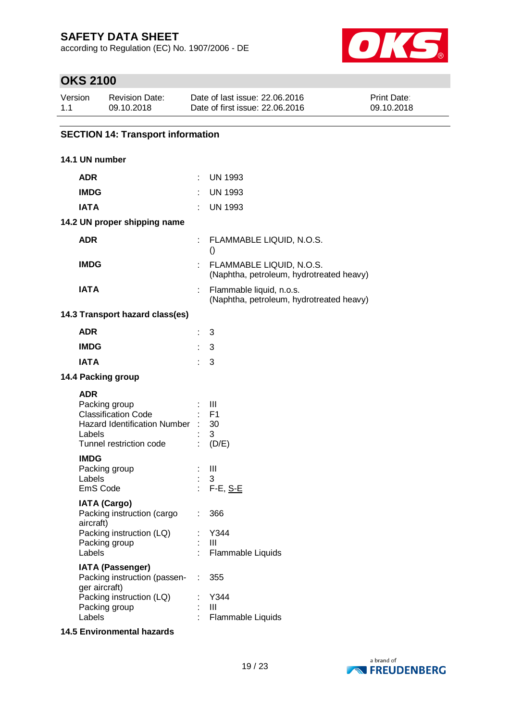according to Regulation (EC) No. 1907/2006 - DE



## **OKS 2100**

| Version | <b>Revision Date:</b> | Date of last issue: 22,06,2016  | <b>Print Date:</b> |
|---------|-----------------------|---------------------------------|--------------------|
| 1.1     | 09.10.2018            | Date of first issue: 22,06,2016 | 09.10.2018         |

## **SECTION 14: Transport information**

| 14.1 UN number                                                                                                                        |    |                                                                      |
|---------------------------------------------------------------------------------------------------------------------------------------|----|----------------------------------------------------------------------|
| <b>ADR</b>                                                                                                                            |    | <b>UN 1993</b>                                                       |
| <b>IMDG</b>                                                                                                                           |    | <b>UN 1993</b>                                                       |
| <b>IATA</b>                                                                                                                           |    | <b>UN 1993</b>                                                       |
| 14.2 UN proper shipping name                                                                                                          |    |                                                                      |
| <b>ADR</b>                                                                                                                            |    | : FLAMMABLE LIQUID, N.O.S.<br>$\left( \right)$                       |
| <b>IMDG</b>                                                                                                                           |    | FLAMMABLE LIQUID, N.O.S.<br>(Naphtha, petroleum, hydrotreated heavy) |
| <b>IATA</b>                                                                                                                           |    | Flammable liquid, n.o.s.<br>(Naphtha, petroleum, hydrotreated heavy) |
| 14.3 Transport hazard class(es)                                                                                                       |    |                                                                      |
| <b>ADR</b>                                                                                                                            | ÷  | 3                                                                    |
| <b>IMDG</b>                                                                                                                           | ÷  | 3                                                                    |
| <b>IATA</b>                                                                                                                           |    | 3                                                                    |
| 14.4 Packing group                                                                                                                    |    |                                                                      |
| <b>ADR</b><br>Packing group<br><b>Classification Code</b><br><b>Hazard Identification Number</b><br>Labels<br>Tunnel restriction code |    | Ш<br><b>F1</b><br>30<br>3<br>(D/E)                                   |
| <b>IMDG</b><br>Packing group<br>Labels<br>EmS Code                                                                                    | ÷. | Ш<br>3<br>F-E, S-E                                                   |
| <b>IATA (Cargo)</b><br>Packing instruction (cargo<br>aircraft)                                                                        |    | 366                                                                  |
| Packing instruction (LQ)<br>Packing group<br>Labels                                                                                   |    | : Y344<br>Ш<br>Flammable Liquids                                     |
| <b>IATA (Passenger)</b><br>Packing instruction (passen-<br>ger aircraft)                                                              |    | 355                                                                  |
| Packing instruction (LQ)<br>Packing group<br>Labels                                                                                   |    | Y344<br>Ш<br>Flammable Liquids                                       |

## **14.5 Environmental hazards**

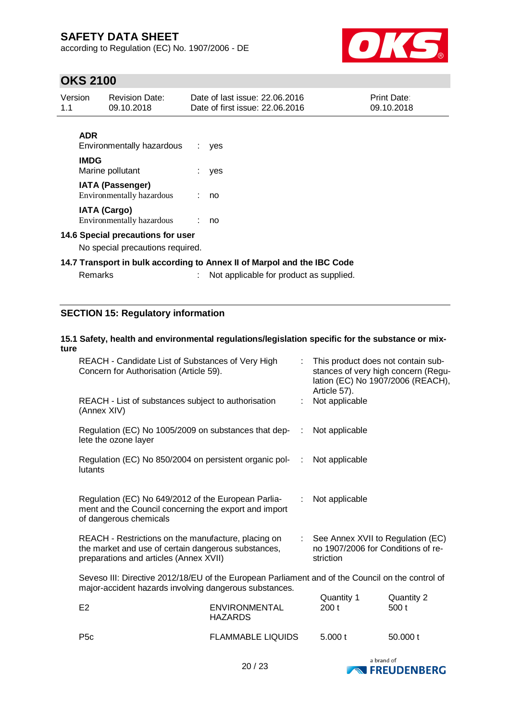according to Regulation (EC) No. 1907/2006 - DE



## **OKS 2100**

| Version<br>1.1                                                          |             | <b>Revision Date:</b><br>09.10.2018                  |  | Date of last issue: 22.06.2016<br>Date of first issue: 22.06.2016 | Print Date:<br>09.10.2018 |
|-------------------------------------------------------------------------|-------------|------------------------------------------------------|--|-------------------------------------------------------------------|---------------------------|
|                                                                         | <b>ADR</b>  | Environmentally hazardous                            |  | $:$ yes                                                           |                           |
|                                                                         | <b>IMDG</b> | Marine pollutant                                     |  | $:$ yes                                                           |                           |
|                                                                         |             | <b>IATA (Passenger)</b><br>Environmentally hazardous |  | : no                                                              |                           |
|                                                                         |             | <b>IATA (Cargo)</b><br>Environmentally hazardous     |  | : no                                                              |                           |
| 14.6 Special precautions for user<br>No special precautions required.   |             |                                                      |  |                                                                   |                           |
| 14.7 Transport in bulk according to Annex II of Marpol and the IBC Code |             |                                                      |  |                                                                   |                           |

| Remarks |  | Not applicable for product as supplied. |
|---------|--|-----------------------------------------|
|---------|--|-----------------------------------------|

## **SECTION 15: Regulatory information**

### **15.1 Safety, health and environmental regulations/legislation specific for the substance or mixture**

| REACH - Candidate List of Substances of Very High<br>Concern for Authorisation (Article 59).                                                               |                                                     |  | : This product does not contain sub-<br>stances of very high concern (Regu-<br>lation (EC) No 1907/2006 (REACH),<br>Article 57). |                     |  |
|------------------------------------------------------------------------------------------------------------------------------------------------------------|-----------------------------------------------------|--|----------------------------------------------------------------------------------------------------------------------------------|---------------------|--|
| (Annex XIV)                                                                                                                                                | REACH - List of substances subject to authorisation |  | Not applicable                                                                                                                   |                     |  |
| Regulation (EC) No 1005/2009 on substances that dep-<br>lete the ozone layer                                                                               |                                                     |  | Not applicable                                                                                                                   |                     |  |
| Regulation (EC) No 850/2004 on persistent organic pol-<br>lutants                                                                                          |                                                     |  | Not applicable                                                                                                                   |                     |  |
| Regulation (EC) No 649/2012 of the European Parlia-<br>ment and the Council concerning the export and import<br>of dangerous chemicals                     |                                                     |  | Not applicable                                                                                                                   |                     |  |
| REACH - Restrictions on the manufacture, placing on<br>the market and use of certain dangerous substances,<br>preparations and articles (Annex XVII)       |                                                     |  | : See Annex XVII to Regulation (EC)<br>no 1907/2006 for Conditions of re-<br>striction                                           |                     |  |
| Seveso III: Directive 2012/18/EU of the European Parliament and of the Council on the control of<br>major-accident hazards involving dangerous substances. |                                                     |  |                                                                                                                                  |                     |  |
| E2                                                                                                                                                         | <b>ENVIRONMENTAL</b><br><b>HAZARDS</b>              |  | Quantity 1<br>200t                                                                                                               | Quantity 2<br>500 t |  |
| <b>FLAMMABLE LIQUIDS</b><br>P <sub>5</sub> c                                                                                                               |                                                     |  | 5.000 t                                                                                                                          | 50.000 t            |  |

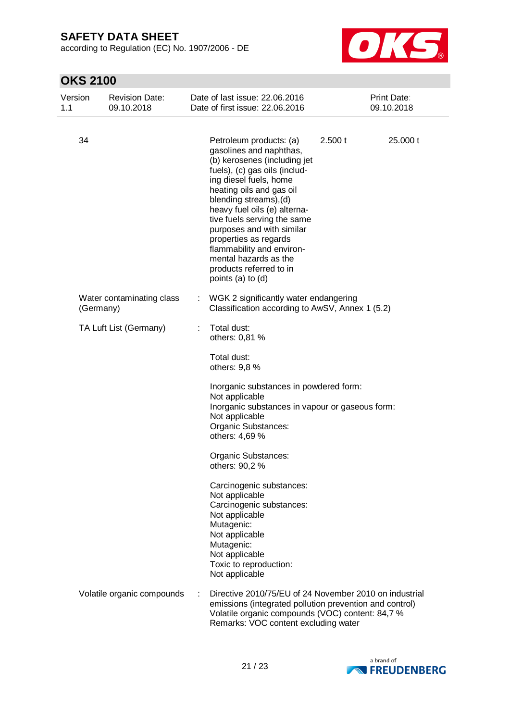according to Regulation (EC) No. 1907/2006 - DE



| Version<br>1.1 | <b>Revision Date:</b><br>09.10.2018    |   | Date of last issue: 22.06.2016<br>Date of first issue: 22.06.2016                                                                                                                                                                                                                                                                                                                                                              |         | Print Date:<br>09.10.2018 |
|----------------|----------------------------------------|---|--------------------------------------------------------------------------------------------------------------------------------------------------------------------------------------------------------------------------------------------------------------------------------------------------------------------------------------------------------------------------------------------------------------------------------|---------|---------------------------|
| 34             |                                        |   | Petroleum products: (a)<br>gasolines and naphthas,<br>(b) kerosenes (including jet<br>fuels), (c) gas oils (includ-<br>ing diesel fuels, home<br>heating oils and gas oil<br>blending streams), (d)<br>heavy fuel oils (e) alterna-<br>tive fuels serving the same<br>purposes and with similar<br>properties as regards<br>flammability and environ-<br>mental hazards as the<br>products referred to in<br>points (a) to (d) | 2.500 t | 25.000 t                  |
|                | Water contaminating class<br>(Germany) |   | WGK 2 significantly water endangering<br>Classification according to AwSV, Annex 1 (5.2)                                                                                                                                                                                                                                                                                                                                       |         |                           |
|                | TA Luft List (Germany)                 | ÷ | Total dust:<br>others: 0,81 %<br>Total dust:<br>others: 9,8 %                                                                                                                                                                                                                                                                                                                                                                  |         |                           |
|                |                                        |   | Inorganic substances in powdered form:<br>Not applicable<br>Inorganic substances in vapour or gaseous form:<br>Not applicable<br>Organic Substances:<br>others: 4,69 %                                                                                                                                                                                                                                                         |         |                           |
|                |                                        |   | Organic Substances:<br>others: 90,2 %                                                                                                                                                                                                                                                                                                                                                                                          |         |                           |
|                |                                        |   | Carcinogenic substances:<br>Not applicable<br>Carcinogenic substances:<br>Not applicable<br>Mutagenic:<br>Not applicable<br>Mutagenic:<br>Not applicable<br>Toxic to reproduction:<br>Not applicable                                                                                                                                                                                                                           |         |                           |
|                | Volatile organic compounds             |   | Directive 2010/75/EU of 24 November 2010 on industrial<br>emissions (integrated pollution prevention and control)<br>Volatile organic compounds (VOC) content: 84,7 %<br>Remarks: VOC content excluding water                                                                                                                                                                                                                  |         |                           |

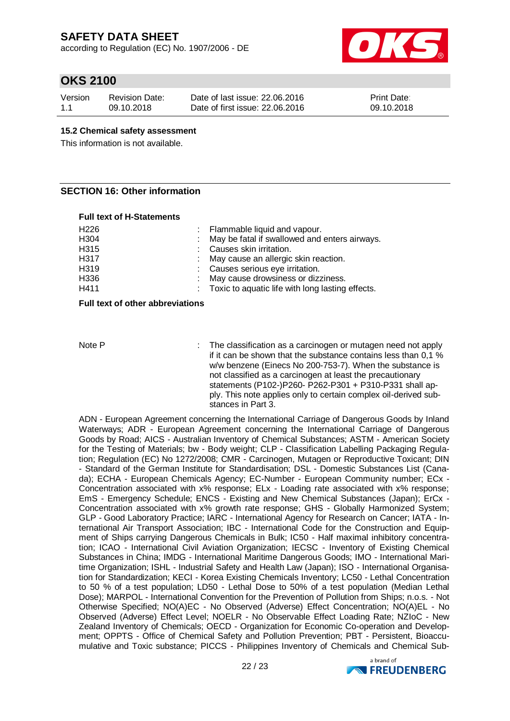according to Regulation (EC) No. 1907/2006 - DE



## **OKS 2100**

| Version | Revision Date: | Date of last issue: 22,06,2016  | <b>Print Date:</b> |
|---------|----------------|---------------------------------|--------------------|
| 1.1     | 09.10.2018     | Date of first issue: 22,06,2016 | 09.10.2018         |

#### **15.2 Chemical safety assessment**

This information is not available.

### **SECTION 16: Other information**

#### **Full text of H-Statements**

| H226 | : Flammable liquid and vapour.                     |
|------|----------------------------------------------------|
| H304 | : May be fatal if swallowed and enters airways.    |
| H315 | : Causes skin irritation.                          |
| H317 | : May cause an allergic skin reaction.             |
| H319 | : Causes serious eye irritation.                   |
| H336 | : May cause drowsiness or dizziness.               |
| H411 | : Toxic to aquatic life with long lasting effects. |
|      |                                                    |

#### **Full text of other abbreviations**

Note P : The classification as a carcinogen or mutagen need not apply if it can be shown that the substance contains less than 0,1 % w/w benzene (Einecs No 200-753-7). When the substance is not classified as a carcinogen at least the precautionary statements (P102-)P260- P262-P301 + P310-P331 shall apply. This note applies only to certain complex oil-derived substances in Part 3.

ADN - European Agreement concerning the International Carriage of Dangerous Goods by Inland Waterways; ADR - European Agreement concerning the International Carriage of Dangerous Goods by Road; AICS - Australian Inventory of Chemical Substances; ASTM - American Society for the Testing of Materials; bw - Body weight; CLP - Classification Labelling Packaging Regulation; Regulation (EC) No 1272/2008; CMR - Carcinogen, Mutagen or Reproductive Toxicant; DIN - Standard of the German Institute for Standardisation; DSL - Domestic Substances List (Canada); ECHA - European Chemicals Agency; EC-Number - European Community number; ECx - Concentration associated with x% response; ELx - Loading rate associated with x% response; EmS - Emergency Schedule; ENCS - Existing and New Chemical Substances (Japan); ErCx - Concentration associated with x% growth rate response; GHS - Globally Harmonized System; GLP - Good Laboratory Practice; IARC - International Agency for Research on Cancer; IATA - International Air Transport Association; IBC - International Code for the Construction and Equipment of Ships carrying Dangerous Chemicals in Bulk; IC50 - Half maximal inhibitory concentration; ICAO - International Civil Aviation Organization; IECSC - Inventory of Existing Chemical Substances in China; IMDG - International Maritime Dangerous Goods; IMO - International Maritime Organization; ISHL - Industrial Safety and Health Law (Japan); ISO - International Organisation for Standardization; KECI - Korea Existing Chemicals Inventory; LC50 - Lethal Concentration to 50 % of a test population; LD50 - Lethal Dose to 50% of a test population (Median Lethal Dose); MARPOL - International Convention for the Prevention of Pollution from Ships; n.o.s. - Not Otherwise Specified; NO(A)EC - No Observed (Adverse) Effect Concentration; NO(A)EL - No Observed (Adverse) Effect Level; NOELR - No Observable Effect Loading Rate; NZIoC - New Zealand Inventory of Chemicals; OECD - Organization for Economic Co-operation and Development; OPPTS - Office of Chemical Safety and Pollution Prevention; PBT - Persistent, Bioaccumulative and Toxic substance; PICCS - Philippines Inventory of Chemicals and Chemical Sub-